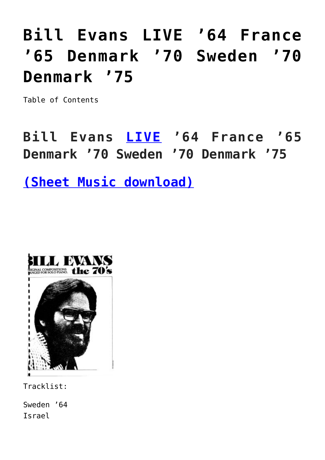# **[Bill Evans LIVE '64 France](https://sheetmusiclibrary.website/2021/12/11/bill-evans-sheet-music-15/) ['65 Denmark '70 Sweden '70](https://sheetmusiclibrary.website/2021/12/11/bill-evans-sheet-music-15/) [Denmark '75](https://sheetmusiclibrary.website/2021/12/11/bill-evans-sheet-music-15/)**

Table of Contents

**Bill Evans [LIVE](https://youtu.be/7mQWYUTmbMU) '64 France '65 Denmark '70 Sweden '70 Denmark '75**

**[\(Sheet Music download\)](https://sheetmusiclibrary.website/)**



Tracklist:

Sweden '64 Israel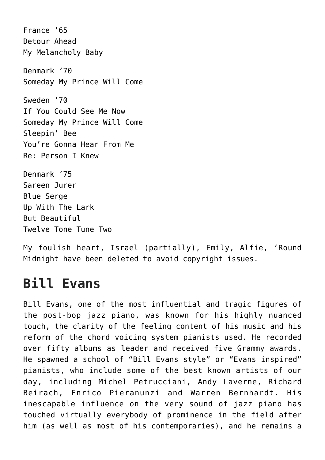France '65 Detour Ahead My Melancholy Baby Denmark '70 Someday My Prince Will Come Sweden '70 If You Could See Me Now Someday My Prince Will Come Sleepin' Bee You're Gonna Hear From Me Re: Person I Knew Denmark '75 Sareen Jurer Blue Serge Up With The Lark But Beautiful Twelve Tone Tune Two

My foulish heart, Israel (partially), Emily, Alfie, 'Round Midnight have been deleted to avoid copyright issues.

# **Bill Evans**

Bill Evans, one of the most influential and tragic figures of the post-bop jazz piano, was known for his highly nuanced touch, the clarity of the feeling content of his music and his reform of the chord voicing system pianists used. He recorded over fifty albums as leader and received five Grammy awards. He spawned a school of "Bill Evans style" or "Evans inspired" pianists, who include some of the best known artists of our day, including Michel Petrucciani, Andy Laverne, Richard Beirach, Enrico Pieranunzi and Warren Bernhardt. His inescapable influence on the very sound of jazz piano has touched virtually everybody of prominence in the field after him (as well as most of his contemporaries), and he remains a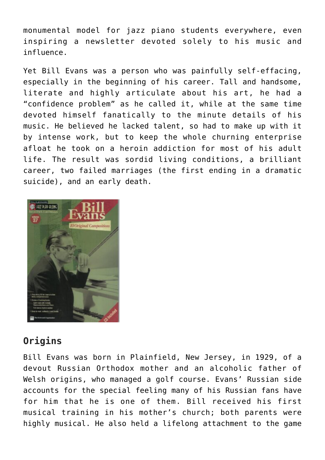monumental model for jazz piano students everywhere, even inspiring a newsletter devoted solely to his music and influence.

Yet Bill Evans was a person who was painfully self-effacing, especially in the beginning of his career. Tall and handsome, literate and highly articulate about his art, he had a "confidence problem" as he called it, while at the same time devoted himself fanatically to the minute details of his music. He believed he lacked talent, so had to make up with it by intense work, but to keep the whole churning enterprise afloat he took on a heroin addiction for most of his adult life. The result was sordid living conditions, a brilliant career, two failed marriages (the first ending in a dramatic suicide), and an early death.



# **Origins**

Bill Evans was born in Plainfield, New Jersey, in 1929, of a devout Russian Orthodox mother and an alcoholic father of Welsh origins, who managed a golf course. Evans' Russian side accounts for the special feeling many of his Russian fans have for him that he is one of them. Bill received his first musical training in his mother's church; both parents were highly musical. He also held a lifelong attachment to the game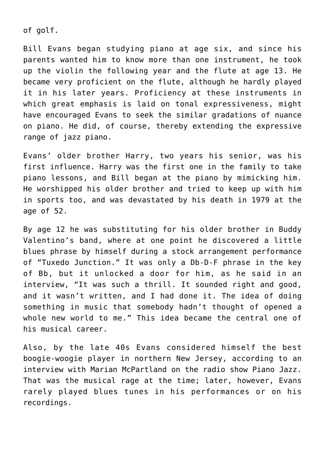of golf.

Bill Evans began studying piano at age six, and since his parents wanted him to know more than one instrument, he took up the violin the following year and the flute at age 13. He became very proficient on the flute, although he hardly played it in his later years. Proficiency at these instruments in which great emphasis is laid on tonal expressiveness, might have encouraged Evans to seek the similar gradations of nuance on piano. He did, of course, thereby extending the expressive range of jazz piano.

Evans' older brother Harry, two years his senior, was his first influence. Harry was the first one in the family to take piano lessons, and Bill began at the piano by mimicking him. He worshipped his older brother and tried to keep up with him in sports too, and was devastated by his death in 1979 at the age of 52.

By age 12 he was substituting for his older brother in Buddy Valentino's band, where at one point he discovered a little blues phrase by himself during a stock arrangement performance of "Tuxedo Junction." It was only a Db-D-F phrase in the key of Bb, but it unlocked a door for him, as he said in an interview, "It was such a thrill. It sounded right and good, and it wasn't written, and I had done it. The idea of doing something in music that somebody hadn't thought of opened a whole new world to me." This idea became the central one of his musical career.

Also, by the late 40s Evans considered himself the best boogie-woogie player in northern New Jersey, according to an interview with Marian McPartland on the radio show Piano Jazz. That was the musical rage at the time; later, however, Evans rarely played blues tunes in his performances or on his recordings.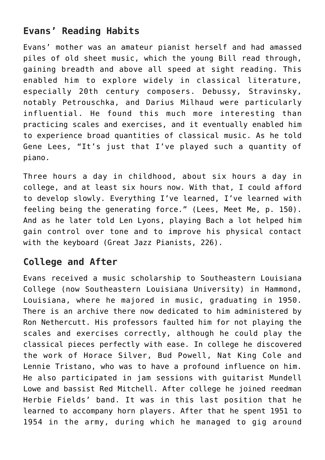# **Evans' Reading Habits**

Evans' mother was an amateur pianist herself and had amassed piles of old sheet music, which the young Bill read through, gaining breadth and above all speed at sight reading. This enabled him to explore widely in classical literature, especially 20th century composers. Debussy, Stravinsky, notably Petrouschka, and Darius Milhaud were particularly influential. He found this much more interesting than practicing scales and exercises, and it eventually enabled him to experience broad quantities of classical music. As he told Gene Lees, "It's just that I've played such a quantity of piano.

Three hours a day in childhood, about six hours a day in college, and at least six hours now. With that, I could afford to develop slowly. Everything I've learned, I've learned with feeling being the generating force." (Lees, Meet Me, p. 150). And as he later told Len Lyons, playing Bach a lot helped him gain control over tone and to improve his physical contact with the keyboard (Great Jazz Pianists, 226).

### **College and After**

Evans received a music scholarship to Southeastern Louisiana College (now Southeastern Louisiana University) in Hammond, Louisiana, where he majored in music, graduating in 1950. There is an archive there now dedicated to him administered by Ron Nethercutt. His professors faulted him for not playing the scales and exercises correctly, although he could play the classical pieces perfectly with ease. In college he discovered the work of Horace Silver, Bud Powell, Nat King Cole and Lennie Tristano, who was to have a profound influence on him. He also participated in jam sessions with guitarist Mundell Lowe and bassist Red Mitchell. After college he joined reedman Herbie Fields' band. It was in this last position that he learned to accompany horn players. After that he spent 1951 to 1954 in the army, during which he managed to gig around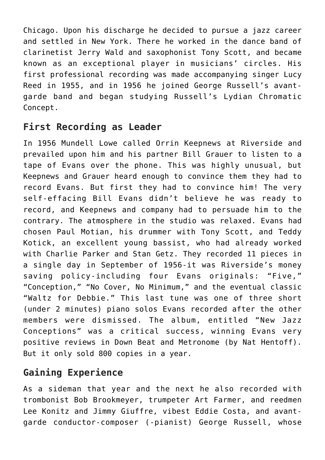Chicago. Upon his discharge he decided to pursue a jazz career and settled in New York. There he worked in the dance band of clarinetist Jerry Wald and saxophonist Tony Scott, and became known as an exceptional player in musicians' circles. His first professional recording was made accompanying singer Lucy Reed in 1955, and in 1956 he joined George Russell's avantgarde band and began studying Russell's Lydian Chromatic Concept.

# **First Recording as Leader**

In 1956 Mundell Lowe called Orrin Keepnews at Riverside and prevailed upon him and his partner Bill Grauer to listen to a tape of Evans over the phone. This was highly unusual, but Keepnews and Grauer heard enough to convince them they had to record Evans. But first they had to convince him! The very self-effacing Bill Evans didn't believe he was ready to record, and Keepnews and company had to persuade him to the contrary. The atmosphere in the studio was relaxed. Evans had chosen Paul Motian, his drummer with Tony Scott, and Teddy Kotick, an excellent young bassist, who had already worked with Charlie Parker and Stan Getz. They recorded 11 pieces in a single day in September of 1956-it was Riverside's money saving policy-including four Evans originals: "Five," "Conception," "No Cover, No Minimum," and the eventual classic "Waltz for Debbie." This last tune was one of three short (under 2 minutes) piano solos Evans recorded after the other members were dismissed. The album, entitled "New Jazz Conceptions" was a critical success, winning Evans very positive reviews in Down Beat and Metronome (by Nat Hentoff). But it only sold 800 copies in a year.

# **Gaining Experience**

As a sideman that year and the next he also recorded with trombonist Bob Brookmeyer, trumpeter Art Farmer, and reedmen Lee Konitz and Jimmy Giuffre, vibest Eddie Costa, and avantgarde conductor-composer (-pianist) George Russell, whose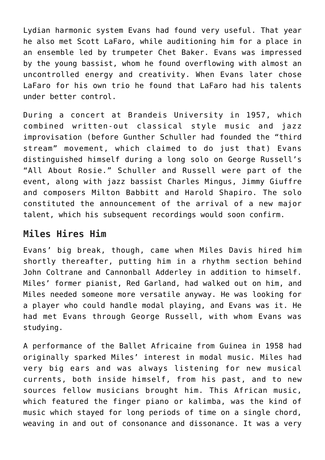Lydian harmonic system Evans had found very useful. That year he also met Scott LaFaro, while auditioning him for a place in an ensemble led by trumpeter Chet Baker. Evans was impressed by the young bassist, whom he found overflowing with almost an uncontrolled energy and creativity. When Evans later chose LaFaro for his own trio he found that LaFaro had his talents under better control.

During a concert at Brandeis University in 1957, which combined written-out classical style music and jazz improvisation (before Gunther Schuller had founded the "third stream" movement, which claimed to do just that) Evans distinguished himself during a long solo on George Russell's "All About Rosie." Schuller and Russell were part of the event, along with jazz bassist Charles Mingus, Jimmy Giuffre and composers Milton Babbitt and Harold Shapiro. The solo constituted the announcement of the arrival of a new major talent, which his subsequent recordings would soon confirm.

#### **Miles Hires Him**

Evans' big break, though, came when Miles Davis hired him shortly thereafter, putting him in a rhythm section behind John Coltrane and Cannonball Adderley in addition to himself. Miles' former pianist, Red Garland, had walked out on him, and Miles needed someone more versatile anyway. He was looking for a player who could handle modal playing, and Evans was it. He had met Evans through George Russell, with whom Evans was studying.

A performance of the Ballet Africaine from Guinea in 1958 had originally sparked Miles' interest in modal music. Miles had very big ears and was always listening for new musical currents, both inside himself, from his past, and to new sources fellow musicians brought him. This African music, which featured the finger piano or kalimba, was the kind of music which stayed for long periods of time on a single chord, weaving in and out of consonance and dissonance. It was a very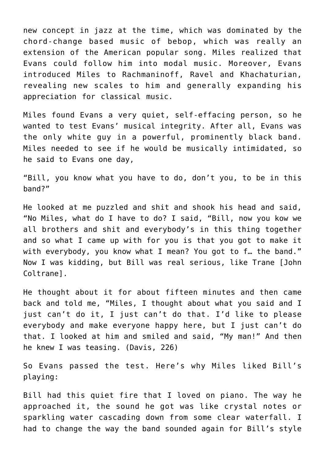new concept in jazz at the time, which was dominated by the chord-change based music of bebop, which was really an extension of the American popular song. Miles realized that Evans could follow him into modal music. Moreover, Evans introduced Miles to Rachmaninoff, Ravel and Khachaturian, revealing new scales to him and generally expanding his appreciation for classical music.

Miles found Evans a very quiet, self-effacing person, so he wanted to test Evans' musical integrity. After all, Evans was the only white guy in a powerful, prominently black band. Miles needed to see if he would be musically intimidated, so he said to Evans one day,

"Bill, you know what you have to do, don't you, to be in this band?"

He looked at me puzzled and shit and shook his head and said, "No Miles, what do I have to do? I said, "Bill, now you kow we all brothers and shit and everybody's in this thing together and so what I came up with for you is that you got to make it with everybody, you know what I mean? You got to f... the band." Now I was kidding, but Bill was real serious, like Trane [John Coltrane].

He thought about it for about fifteen minutes and then came back and told me, "Miles, I thought about what you said and I just can't do it, I just can't do that. I'd like to please everybody and make everyone happy here, but I just can't do that. I looked at him and smiled and said, "My man!" And then he knew I was teasing. (Davis, 226)

So Evans passed the test. Here's why Miles liked Bill's playing:

Bill had this quiet fire that I loved on piano. The way he approached it, the sound he got was like crystal notes or sparkling water cascading down from some clear waterfall. I had to change the way the band sounded again for Bill's style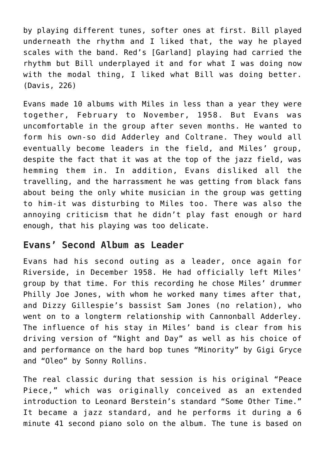by playing different tunes, softer ones at first. Bill played underneath the rhythm and I liked that, the way he played scales with the band. Red's [Garland] playing had carried the rhythm but Bill underplayed it and for what I was doing now with the modal thing, I liked what Bill was doing better. (Davis, 226)

Evans made 10 albums with Miles in less than a year they were together, February to November, 1958. But Evans was uncomfortable in the group after seven months. He wanted to form his own-so did Adderley and Coltrane. They would all eventually become leaders in the field, and Miles' group, despite the fact that it was at the top of the jazz field, was hemming them in. In addition, Evans disliked all the travelling, and the harrassment he was getting from black fans about being the only white musician in the group was getting to him-it was disturbing to Miles too. There was also the annoying criticism that he didn't play fast enough or hard enough, that his playing was too delicate.

#### **Evans' Second Album as Leader**

Evans had his second outing as a leader, once again for Riverside, in December 1958. He had officially left Miles' group by that time. For this recording he chose Miles' drummer Philly Joe Jones, with whom he worked many times after that, and Dizzy Gillespie's bassist Sam Jones (no relation), who went on to a longterm relationship with Cannonball Adderley. The influence of his stay in Miles' band is clear from his driving version of "Night and Day" as well as his choice of and performance on the hard bop tunes "Minority" by Gigi Gryce and "Oleo" by Sonny Rollins.

The real classic during that session is his original "Peace Piece," which was originally conceived as an extended introduction to Leonard Berstein's standard "Some Other Time." It became a jazz standard, and he performs it during a 6 minute 41 second piano solo on the album. The tune is based on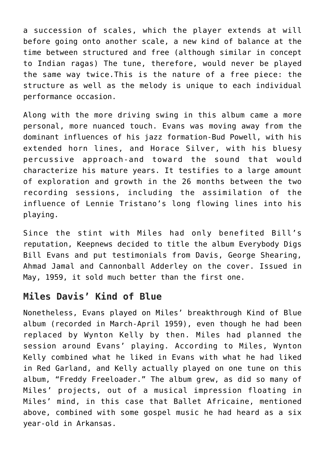a succession of scales, which the player extends at will before going onto another scale, a new kind of balance at the time between structured and free (although similar in concept to Indian ragas) The tune, therefore, would never be played the same way twice.This is the nature of a free piece: the structure as well as the melody is unique to each individual performance occasion.

Along with the more driving swing in this album came a more personal, more nuanced touch. Evans was moving away from the dominant influences of his jazz formation-Bud Powell, with his extended horn lines, and Horace Silver, with his bluesy percussive approach-and toward the sound that would characterize his mature years. It testifies to a large amount of exploration and growth in the 26 months between the two recording sessions, including the assimilation of the influence of Lennie Tristano's long flowing lines into his playing.

Since the stint with Miles had only benefited Bill's reputation, Keepnews decided to title the album Everybody Digs Bill Evans and put testimonials from Davis, George Shearing, Ahmad Jamal and Cannonball Adderley on the cover. Issued in May, 1959, it sold much better than the first one.

### **Miles Davis' Kind of Blue**

Nonetheless, Evans played on Miles' breakthrough Kind of Blue album (recorded in March-April 1959), even though he had been replaced by Wynton Kelly by then. Miles had planned the session around Evans' playing. According to Miles, Wynton Kelly combined what he liked in Evans with what he had liked in Red Garland, and Kelly actually played on one tune on this album, "Freddy Freeloader." The album grew, as did so many of Miles' projects, out of a musical impression floating in Miles' mind, in this case that Ballet Africaine, mentioned above, combined with some gospel music he had heard as a six year-old in Arkansas.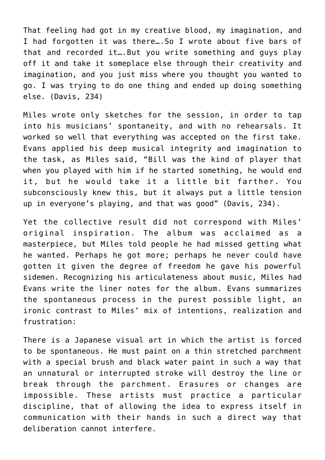That feeling had got in my creative blood, my imagination, and I had forgotten it was there….So I wrote about five bars of that and recorded it….But you write something and guys play off it and take it someplace else through their creativity and imagination, and you just miss where you thought you wanted to go. I was trying to do one thing and ended up doing something else. (Davis, 234)

Miles wrote only sketches for the session, in order to tap into his musicians' spontaneity, and with no rehearsals. It worked so well that everything was accepted on the first take. Evans applied his deep musical integrity and imagination to the task, as Miles said, "Bill was the kind of player that when you played with him if he started something, he would end it, but he would take it a little bit farther. You subconsciously knew this, but it always put a little tension up in everyone's playing, and that was good" (Davis, 234).

Yet the collective result did not correspond with Miles' original inspiration. The album was acclaimed as a masterpiece, but Miles told people he had missed getting what he wanted. Perhaps he got more; perhaps he never could have gotten it given the degree of freedom he gave his powerful sidemen. Recognizing his articulateness about music, Miles had Evans write the liner notes for the album. Evans summarizes the spontaneous process in the purest possible light, an ironic contrast to Miles' mix of intentions, realization and frustration:

There is a Japanese visual art in which the artist is forced to be spontaneous. He must paint on a thin stretched parchment with a special brush and black water paint in such a way that an unnatural or interrupted stroke will destroy the line or break through the parchment. Erasures or changes are impossible. These artists must practice a particular discipline, that of allowing the idea to express itself in communication with their hands in such a direct way that deliberation cannot interfere.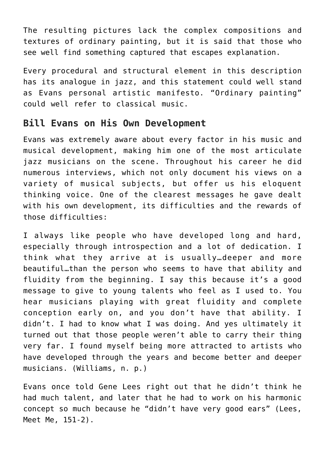The resulting pictures lack the complex compositions and textures of ordinary painting, but it is said that those who see well find something captured that escapes explanation.

Every procedural and structural element in this description has its analogue in jazz, and this statement could well stand as Evans personal artistic manifesto. "Ordinary painting" could well refer to classical music.

#### **Bill Evans on His Own Development**

Evans was extremely aware about every factor in his music and musical development, making him one of the most articulate jazz musicians on the scene. Throughout his career he did numerous interviews, which not only document his views on a variety of musical subjects, but offer us his eloquent thinking voice. One of the clearest messages he gave dealt with his own development, its difficulties and the rewards of those difficulties:

I always like people who have developed long and hard, especially through introspection and a lot of dedication. I think what they arrive at is usually…deeper and more beautiful…than the person who seems to have that ability and fluidity from the beginning. I say this because it's a good message to give to young talents who feel as I used to. You hear musicians playing with great fluidity and complete conception early on, and you don't have that ability. I didn't. I had to know what I was doing. And yes ultimately it turned out that those people weren't able to carry their thing very far. I found myself being more attracted to artists who have developed through the years and become better and deeper musicians. (Williams, n. p.)

Evans once told Gene Lees right out that he didn't think he had much talent, and later that he had to work on his harmonic concept so much because he "didn't have very good ears" (Lees, Meet Me, 151-2).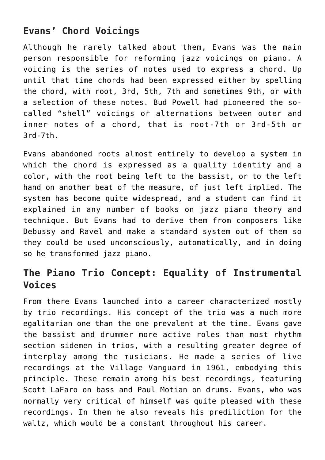# **Evans' Chord Voicings**

Although he rarely talked about them, Evans was the main person responsible for reforming jazz voicings on piano. A voicing is the series of notes used to express a chord. Up until that time chords had been expressed either by spelling the chord, with root, 3rd, 5th, 7th and sometimes 9th, or with a selection of these notes. Bud Powell had pioneered the socalled "shell" voicings or alternations between outer and inner notes of a chord, that is root-7th or 3rd-5th or 3rd-7th.

Evans abandoned roots almost entirely to develop a system in which the chord is expressed as a quality identity and a color, with the root being left to the bassist, or to the left hand on another beat of the measure, of just left implied. The system has become quite widespread, and a student can find it explained in any number of books on jazz piano theory and technique. But Evans had to derive them from composers like Debussy and Ravel and make a standard system out of them so they could be used unconsciously, automatically, and in doing so he transformed jazz piano.

# **The Piano Trio Concept: Equality of Instrumental Voices**

From there Evans launched into a career characterized mostly by trio recordings. His concept of the trio was a much more egalitarian one than the one prevalent at the time. Evans gave the bassist and drummer more active roles than most rhythm section sidemen in trios, with a resulting greater degree of interplay among the musicians. He made a series of live recordings at the Village Vanguard in 1961, embodying this principle. These remain among his best recordings, featuring Scott LaFaro on bass and Paul Motian on drums. Evans, who was normally very critical of himself was quite pleased with these recordings. In them he also reveals his prediliction for the waltz, which would be a constant throughout his career.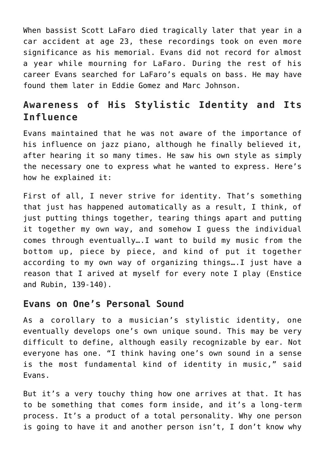When bassist Scott LaFaro died tragically later that year in a car accident at age 23, these recordings took on even more significance as his memorial. Evans did not record for almost a year while mourning for LaFaro. During the rest of his career Evans searched for LaFaro's equals on bass. He may have found them later in Eddie Gomez and Marc Johnson.

# **Awareness of His Stylistic Identity and Its Influence**

Evans maintained that he was not aware of the importance of his influence on jazz piano, although he finally believed it, after hearing it so many times. He saw his own style as simply the necessary one to express what he wanted to express. Here's how he explained it:

First of all, I never strive for identity. That's something that just has happened automatically as a result, I think, of just putting things together, tearing things apart and putting it together my own way, and somehow I guess the individual comes through eventually….I want to build my music from the bottom up, piece by piece, and kind of put it together according to my own way of organizing things….I just have a reason that I arived at myself for every note I play (Enstice and Rubin, 139-140).

#### **Evans on One's Personal Sound**

As a corollary to a musician's stylistic identity, one eventually develops one's own unique sound. This may be very difficult to define, although easily recognizable by ear. Not everyone has one. "I think having one's own sound in a sense is the most fundamental kind of identity in music," said Evans.

But it's a very touchy thing how one arrives at that. It has to be something that comes form inside, and it's a long-term process. It's a product of a total personality. Why one person is going to have it and another person isn't, I don't know why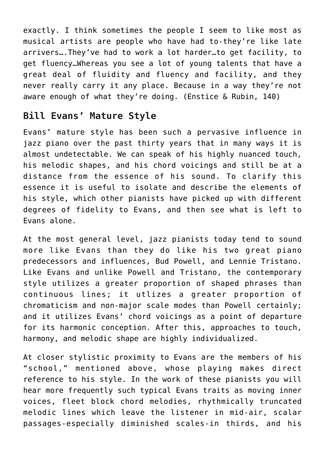exactly. I think sometimes the people I seem to like most as musical artists are people who have had to-they're like late arrivers….They've had to work a lot harder…to get facility, to get fluency…Whereas you see a lot of young talents that have a great deal of fluidity and fluency and facility, and they never really carry it any place. Because in a way they're not aware enough of what they're doing. (Enstice & Rubin, 140)

# **Bill Evans' Mature Style**

Evans' mature style has been such a pervasive influence in jazz piano over the past thirty years that in many ways it is almost undetectable. We can speak of his highly nuanced touch, his melodic shapes, and his chord voicings and still be at a distance from the essence of his sound. To clarify this essence it is useful to isolate and describe the elements of his style, which other pianists have picked up with different degrees of fidelity to Evans, and then see what is left to Evans alone.

At the most general level, jazz pianists today tend to sound more like Evans than they do like his two great piano predecessors and influences, Bud Powell, and Lennie Tristano. Like Evans and unlike Powell and Tristano, the contemporary style utilizes a greater proportion of shaped phrases than continuous lines; it utlizes a greater proportion of chromaticism and non-major scale modes than Powell certainly; and it utilizes Evans' chord voicings as a point of departure for its harmonic conception. After this, approaches to touch, harmony, and melodic shape are highly individualized.

At closer stylistic proximity to Evans are the members of his "school," mentioned above, whose playing makes direct reference to his style. In the work of these pianists you will hear more frequently such typical Evans traits as moving inner voices, fleet block chord melodies, rhythmically truncated melodic lines which leave the listener in mid-air, scalar passages-especially diminished scales-in thirds, and his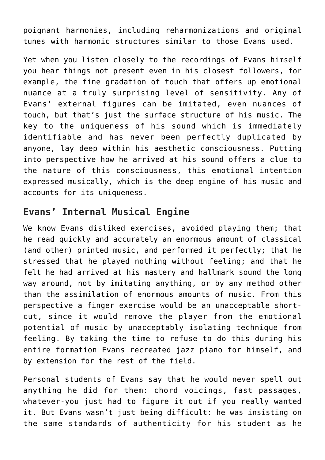poignant harmonies, including reharmonizations and original tunes with harmonic structures similar to those Evans used.

Yet when you listen closely to the recordings of Evans himself you hear things not present even in his closest followers, for example, the fine gradation of touch that offers up emotional nuance at a truly surprising level of sensitivity. Any of Evans' external figures can be imitated, even nuances of touch, but that's just the surface structure of his music. The key to the uniqueness of his sound which is immediately identifiable and has never been perfectly duplicated by anyone, lay deep within his aesthetic consciousness. Putting into perspective how he arrived at his sound offers a clue to the nature of this consciousness, this emotional intention expressed musically, which is the deep engine of his music and accounts for its uniqueness.

#### **Evans' Internal Musical Engine**

We know Evans disliked exercises, avoided playing them; that he read quickly and accurately an enormous amount of classical (and other) printed music, and performed it perfectly; that he stressed that he played nothing without feeling; and that he felt he had arrived at his mastery and hallmark sound the long way around, not by imitating anything, or by any method other than the assimilation of enormous amounts of music. From this perspective a finger exercise would be an unacceptable shortcut, since it would remove the player from the emotional potential of music by unacceptably isolating technique from feeling. By taking the time to refuse to do this during his entire formation Evans recreated jazz piano for himself, and by extension for the rest of the field.

Personal students of Evans say that he would never spell out anything he did for them: chord voicings, fast passages, whatever-you just had to figure it out if you really wanted it. But Evans wasn't just being difficult: he was insisting on the same standards of authenticity for his student as he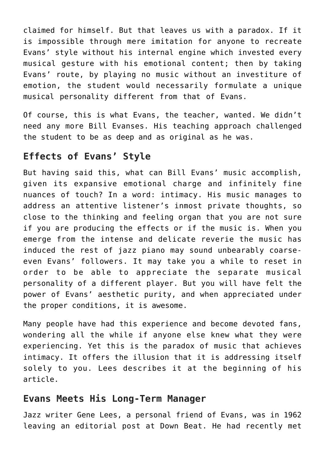claimed for himself. But that leaves us with a paradox. If it is impossible through mere imitation for anyone to recreate Evans' style without his internal engine which invested every musical gesture with his emotional content; then by taking Evans' route, by playing no music without an investiture of emotion, the student would necessarily formulate a unique musical personality different from that of Evans.

Of course, this is what Evans, the teacher, wanted. We didn't need any more Bill Evanses. His teaching approach challenged the student to be as deep and as original as he was.

#### **Effects of Evans' Style**

But having said this, what can Bill Evans' music accomplish, given its expansive emotional charge and infinitely fine nuances of touch? In a word: intimacy. His music manages to address an attentive listener's inmost private thoughts, so close to the thinking and feeling organ that you are not sure if you are producing the effects or if the music is. When you emerge from the intense and delicate reverie the music has induced the rest of jazz piano may sound unbearably coarseeven Evans' followers. It may take you a while to reset in order to be able to appreciate the separate musical personality of a different player. But you will have felt the power of Evans' aesthetic purity, and when appreciated under the proper conditions, it is awesome.

Many people have had this experience and become devoted fans, wondering all the while if anyone else knew what they were experiencing. Yet this is the paradox of music that achieves intimacy. It offers the illusion that it is addressing itself solely to you. Lees describes it at the beginning of his article.

#### **Evans Meets His Long-Term Manager**

Jazz writer Gene Lees, a personal friend of Evans, was in 1962 leaving an editorial post at Down Beat. He had recently met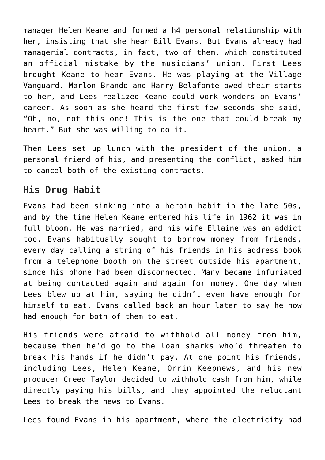manager Helen Keane and formed a h4 personal relationship with her, insisting that she hear Bill Evans. But Evans already had managerial contracts, in fact, two of them, which constituted an official mistake by the musicians' union. First Lees brought Keane to hear Evans. He was playing at the Village Vanguard. Marlon Brando and Harry Belafonte owed their starts to her, and Lees realized Keane could work wonders on Evans' career. As soon as she heard the first few seconds she said, "Oh, no, not this one! This is the one that could break my heart." But she was willing to do it.

Then Lees set up lunch with the president of the union, a personal friend of his, and presenting the conflict, asked him to cancel both of the existing contracts.

# **His Drug Habit**

Evans had been sinking into a heroin habit in the late 50s, and by the time Helen Keane entered his life in 1962 it was in full bloom. He was married, and his wife Ellaine was an addict too. Evans habitually sought to borrow money from friends, every day calling a string of his friends in his address book from a telephone booth on the street outside his apartment, since his phone had been disconnected. Many became infuriated at being contacted again and again for money. One day when Lees blew up at him, saying he didn't even have enough for himself to eat, Evans called back an hour later to say he now had enough for both of them to eat.

His friends were afraid to withhold all money from him, because then he'd go to the loan sharks who'd threaten to break his hands if he didn't pay. At one point his friends, including Lees, Helen Keane, Orrin Keepnews, and his new producer Creed Taylor decided to withhold cash from him, while directly paying his bills, and they appointed the reluctant Lees to break the news to Evans.

Lees found Evans in his apartment, where the electricity had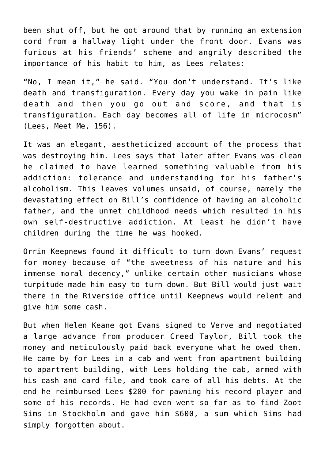been shut off, but he got around that by running an extension cord from a hallway light under the front door. Evans was furious at his friends' scheme and angrily described the importance of his habit to him, as Lees relates:

"No, I mean it," he said. "You don't understand. It's like death and transfiguration. Every day you wake in pain like death and then you go out and score, and that is transfiguration. Each day becomes all of life in microcosm" (Lees, Meet Me, 156).

It was an elegant, aestheticized account of the process that was destroying him. Lees says that later after Evans was clean he claimed to have learned something valuable from his addiction: tolerance and understanding for his father's alcoholism. This leaves volumes unsaid, of course, namely the devastating effect on Bill's confidence of having an alcoholic father, and the unmet childhood needs which resulted in his own self-destructive addiction. At least he didn't have children during the time he was hooked.

Orrin Keepnews found it difficult to turn down Evans' request for money because of "the sweetness of his nature and his immense moral decency," unlike certain other musicians whose turpitude made him easy to turn down. But Bill would just wait there in the Riverside office until Keepnews would relent and give him some cash.

But when Helen Keane got Evans signed to Verve and negotiated a large advance from producer Creed Taylor, Bill took the money and meticulously paid back everyone what he owed them. He came by for Lees in a cab and went from apartment building to apartment building, with Lees holding the cab, armed with his cash and card file, and took care of all his debts. At the end he reimbursed Lees \$200 for pawning his record player and some of his records. He had even went so far as to find Zoot Sims in Stockholm and gave him \$600, a sum which Sims had simply forgotten about.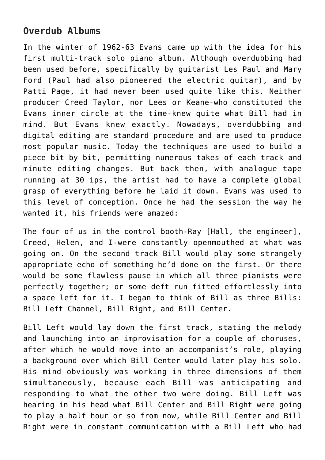# **Overdub Albums**

In the winter of 1962-63 Evans came up with the idea for his first multi-track solo piano album. Although overdubbing had been used before, specifically by guitarist Les Paul and Mary Ford (Paul had also pioneered the electric guitar), and by Patti Page, it had never been used quite like this. Neither producer Creed Taylor, nor Lees or Keane-who constituted the Evans inner circle at the time-knew quite what Bill had in mind. But Evans knew exactly. Nowadays, overdubbing and digital editing are standard procedure and are used to produce most popular music. Today the techniques are used to build a piece bit by bit, permitting numerous takes of each track and minute editing changes. But back then, with analogue tape running at 30 ips, the artist had to have a complete global grasp of everything before he laid it down. Evans was used to this level of conception. Once he had the session the way he wanted it, his friends were amazed:

The four of us in the control booth-Ray [Hall, the engineer], Creed, Helen, and I-were constantly openmouthed at what was going on. On the second track Bill would play some strangely appropriate echo of something he'd done on the first. Or there would be some flawless pause in which all three pianists were perfectly together; or some deft run fitted effortlessly into a space left for it. I began to think of Bill as three Bills: Bill Left Channel, Bill Right, and Bill Center.

Bill Left would lay down the first track, stating the melody and launching into an improvisation for a couple of choruses, after which he would move into an accompanist's role, playing a background over which Bill Center would later play his solo. His mind obviously was working in three dimensions of them simultaneously, because each Bill was anticipating and responding to what the other two were doing. Bill Left was hearing in his head what Bill Center and Bill Right were going to play a half hour or so from now, while Bill Center and Bill Right were in constant communication with a Bill Left who had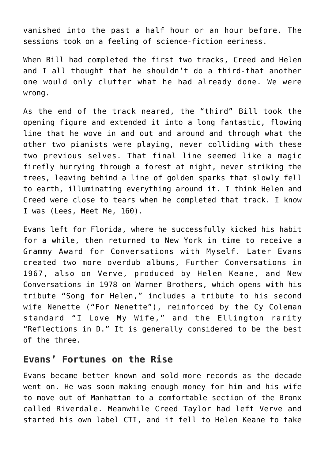vanished into the past a half hour or an hour before. The sessions took on a feeling of science-fiction eeriness.

When Bill had completed the first two tracks, Creed and Helen and I all thought that he shouldn't do a third-that another one would only clutter what he had already done. We were wrong.

As the end of the track neared, the "third" Bill took the opening figure and extended it into a long fantastic, flowing line that he wove in and out and around and through what the other two pianists were playing, never colliding with these two previous selves. That final line seemed like a magic firefly hurrying through a forest at night, never striking the trees, leaving behind a line of golden sparks that slowly fell to earth, illuminating everything around it. I think Helen and Creed were close to tears when he completed that track. I know I was (Lees, Meet Me, 160).

Evans left for Florida, where he successfully kicked his habit for a while, then returned to New York in time to receive a Grammy Award for Conversations with Myself. Later Evans created two more overdub albums, Further Conversations in 1967, also on Verve, produced by Helen Keane, and New Conversations in 1978 on Warner Brothers, which opens with his tribute "Song for Helen," includes a tribute to his second wife Nenette ("For Nenette"), reinforced by the Cy Coleman standard "I Love My Wife," and the Ellington rarity "Reflections in D." It is generally considered to be the best of the three.

#### **Evans' Fortunes on the Rise**

Evans became better known and sold more records as the decade went on. He was soon making enough money for him and his wife to move out of Manhattan to a comfortable section of the Bronx called Riverdale. Meanwhile Creed Taylor had left Verve and started his own label CTI, and it fell to Helen Keane to take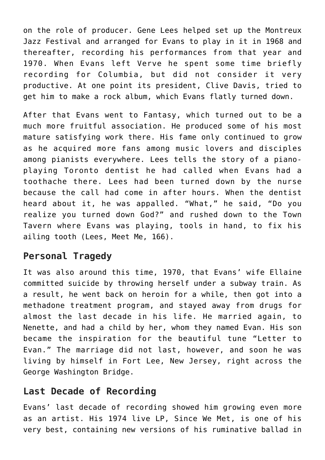on the role of producer. Gene Lees helped set up the Montreux Jazz Festival and arranged for Evans to play in it in 1968 and thereafter, recording his performances from that year and 1970. When Evans left Verve he spent some time briefly recording for Columbia, but did not consider it very productive. At one point its president, Clive Davis, tried to get him to make a rock album, which Evans flatly turned down.

After that Evans went to Fantasy, which turned out to be a much more fruitful association. He produced some of his most mature satisfying work there. His fame only continued to grow as he acquired more fans among music lovers and disciples among pianists everywhere. Lees tells the story of a pianoplaying Toronto dentist he had called when Evans had a toothache there. Lees had been turned down by the nurse because the call had come in after hours. When the dentist heard about it, he was appalled. "What," he said, "Do you realize you turned down God?" and rushed down to the Town Tavern where Evans was playing, tools in hand, to fix his ailing tooth (Lees, Meet Me, 166).

# **Personal Tragedy**

It was also around this time, 1970, that Evans' wife Ellaine committed suicide by throwing herself under a subway train. As a result, he went back on heroin for a while, then got into a methadone treatment program, and stayed away from drugs for almost the last decade in his life. He married again, to Nenette, and had a child by her, whom they named Evan. His son became the inspiration for the beautiful tune "Letter to Evan." The marriage did not last, however, and soon he was living by himself in Fort Lee, New Jersey, right across the George Washington Bridge.

# **Last Decade of Recording**

Evans' last decade of recording showed him growing even more as an artist. His 1974 live LP, Since We Met, is one of his very best, containing new versions of his ruminative ballad in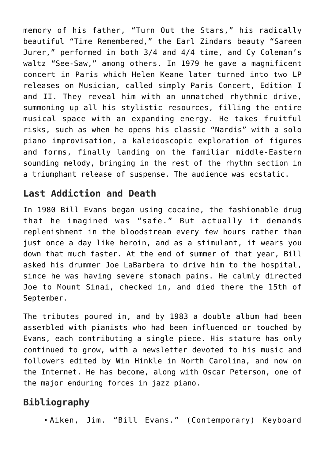memory of his father, "Turn Out the Stars," his radically beautiful "Time Remembered," the Earl Zindars beauty "Sareen Jurer," performed in both 3/4 and 4/4 time, and Cy Coleman's waltz "See-Saw," among others. In 1979 he gave a magnificent concert in Paris which Helen Keane later turned into two LP releases on Musician, called simply Paris Concert, Edition I and II. They reveal him with an unmatched rhythmic drive, summoning up all his stylistic resources, filling the entire musical space with an expanding energy. He takes fruitful risks, such as when he opens his classic "Nardis" with a solo piano improvisation, a kaleidoscopic exploration of figures and forms, finally landing on the familiar middle-Eastern sounding melody, bringing in the rest of the rhythm section in a triumphant release of suspense. The audience was ecstatic.

#### **Last Addiction and Death**

In 1980 Bill Evans began using cocaine, the fashionable drug that he imagined was "safe." But actually it demands replenishment in the bloodstream every few hours rather than just once a day like heroin, and as a stimulant, it wears you down that much faster. At the end of summer of that year, Bill asked his drummer Joe LaBarbera to drive him to the hospital, since he was having severe stomach pains. He calmly directed Joe to Mount Sinai, checked in, and died there the 15th of September.

The tributes poured in, and by 1983 a double album had been assembled with pianists who had been influenced or touched by Evans, each contributing a single piece. His stature has only continued to grow, with a newsletter devoted to his music and followers edited by Win Hinkle in North Carolina, and now on the Internet. He has become, along with Oscar Peterson, one of the major enduring forces in jazz piano.

# **Bibliography**

Aiken, Jim. "Bill Evans." (Contemporary) Keyboard